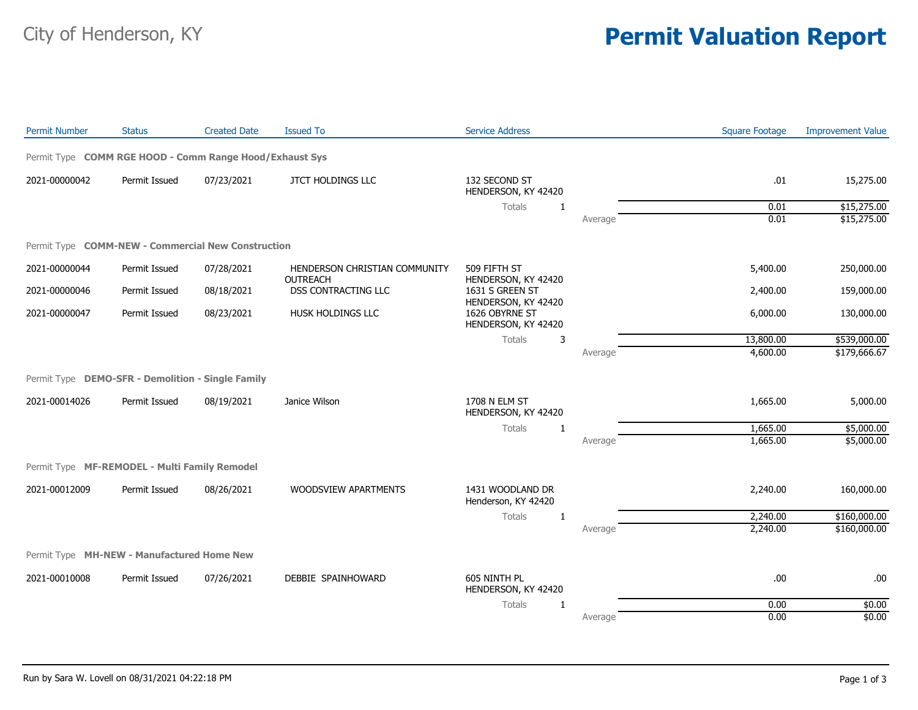## City of Henderson, KY **Permit Valuation Report**

| <b>Permit Number</b> | <b>Status</b>                                           | <b>Created Date</b> | <b>Issued To</b>                                 | <b>Service Address</b>                                        |         | <b>Square Footage</b> | <b>Improvement Value</b> |
|----------------------|---------------------------------------------------------|---------------------|--------------------------------------------------|---------------------------------------------------------------|---------|-----------------------|--------------------------|
|                      | Permit Type COMM RGE HOOD - Comm Range Hood/Exhaust Sys |                     |                                                  |                                                               |         |                       |                          |
| 2021-00000042        | Permit Issued                                           | 07/23/2021          | JTCT HOLDINGS LLC                                | 132 SECOND ST<br>HENDERSON, KY 42420                          |         | .01                   | 15,275.00                |
|                      |                                                         |                     |                                                  | Totals<br>-1                                                  |         | 0.01                  | \$15,275.00              |
|                      |                                                         |                     |                                                  |                                                               | Average | 0.01                  | \$15,275.00              |
|                      | Permit Type COMM-NEW - Commercial New Construction      |                     |                                                  |                                                               |         |                       |                          |
| 2021-00000044        | Permit Issued                                           | 07/28/2021          | HENDERSON CHRISTIAN COMMUNITY<br><b>OUTREACH</b> | 509 FIFTH ST                                                  |         | 5,400.00              | 250,000.00               |
| 2021-00000046        | Permit Issued                                           | 08/18/2021          | DSS CONTRACTING LLC                              | HENDERSON, KY 42420<br>1631 S GREEN ST<br>HENDERSON, KY 42420 |         | 2,400.00              | 159,000.00               |
| 2021-00000047        | Permit Issued                                           | 08/23/2021          | HUSK HOLDINGS LLC                                | 1626 OBYRNE ST<br>HENDERSON, KY 42420                         |         | 6,000.00              | 130,000.00               |
|                      |                                                         |                     |                                                  | Totals<br>3                                                   |         | 13,800.00             | \$539,000.00             |
|                      |                                                         |                     |                                                  |                                                               | Average | 4,600.00              | \$179,666.67             |
|                      | Permit Type DEMO-SFR - Demolition - Single Family       |                     |                                                  |                                                               |         |                       |                          |
| 2021-00014026        | Permit Issued                                           | 08/19/2021          | Janice Wilson                                    | 1708 N ELM ST<br>HENDERSON, KY 42420                          |         | 1,665.00              | 5,000.00                 |
|                      |                                                         |                     |                                                  | <b>Totals</b><br>-1                                           |         | 1,665.00              | \$5,000.00               |
|                      |                                                         |                     |                                                  |                                                               | Average | 1,665.00              | \$5,000.00               |
|                      | Permit Type MF-REMODEL - Multi Family Remodel           |                     |                                                  |                                                               |         |                       |                          |
| 2021-00012009        | Permit Issued                                           | 08/26/2021          | WOODSVIEW APARTMENTS                             | 1431 WOODLAND DR<br>Henderson, KY 42420                       |         | 2,240.00              | 160,000.00               |
|                      |                                                         |                     |                                                  | <b>Totals</b><br>$\mathbf{1}$                                 |         | 2,240.00              | \$160,000.00             |
|                      |                                                         |                     |                                                  |                                                               | Average | 2,240.00              | \$160,000.00             |
|                      | Permit Type MH-NEW - Manufactured Home New              |                     |                                                  |                                                               |         |                       |                          |
|                      |                                                         |                     |                                                  |                                                               |         |                       |                          |
| 2021-00010008        | Permit Issued                                           | 07/26/2021          | DEBBIE SPAINHOWARD                               | 605 NINTH PL<br>HENDERSON, KY 42420                           |         | .00                   | .00                      |
|                      |                                                         |                     |                                                  | Totals<br>-1                                                  |         | 0.00                  | \$0.00                   |
|                      |                                                         |                     |                                                  |                                                               | Average | 0.00                  | \$0.00                   |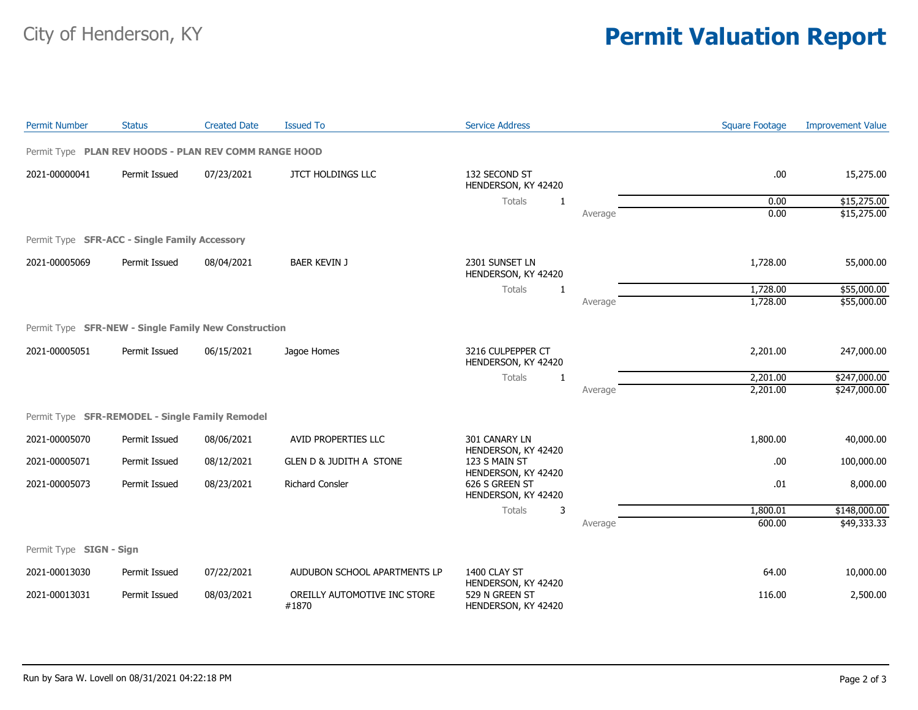## City of Henderson, KY **Permit Valuation Report**

| <b>Permit Number</b>    | <b>Status</b>                                         | <b>Created Date</b> | <b>Issued To</b>                      | <b>Service Address</b>                                       |         | <b>Square Footage</b> | <b>Improvement Value</b> |
|-------------------------|-------------------------------------------------------|---------------------|---------------------------------------|--------------------------------------------------------------|---------|-----------------------|--------------------------|
|                         | Permit Type PLAN REV HOODS - PLAN REV COMM RANGE HOOD |                     |                                       |                                                              |         |                       |                          |
| 2021-00000041           | Permit Issued                                         | 07/23/2021          | <b>JTCT HOLDINGS LLC</b>              | 132 SECOND ST<br>HENDERSON, KY 42420                         |         | .00                   | 15,275.00                |
|                         |                                                       |                     |                                       | Totals<br>-1                                                 |         | 0.00                  | \$15,275.00              |
|                         |                                                       |                     |                                       |                                                              | Average | 0.00                  | \$15,275.00              |
|                         | Permit Type SFR-ACC - Single Family Accessory         |                     |                                       |                                                              |         |                       |                          |
| 2021-00005069           | Permit Issued                                         | 08/04/2021          | <b>BAER KEVIN J</b>                   | 2301 SUNSET LN<br>HENDERSON, KY 42420                        |         | 1,728.00              | 55,000.00                |
|                         |                                                       |                     |                                       | Totals<br>1                                                  |         | 1,728.00              | \$55,000.00              |
|                         |                                                       |                     |                                       |                                                              | Average | 1,728.00              | \$55,000.00              |
|                         | Permit Type SFR-NEW - Single Family New Construction  |                     |                                       |                                                              |         |                       |                          |
| 2021-00005051           | Permit Issued                                         | 06/15/2021          | Jagoe Homes                           | 3216 CULPEPPER CT<br>HENDERSON, KY 42420                     |         | 2,201.00              | 247,000.00               |
|                         |                                                       |                     |                                       | Totals<br>-1                                                 |         | 2,201.00              | \$247,000.00             |
|                         |                                                       |                     |                                       |                                                              | Average | 2,201.00              | \$247,000.00             |
|                         | Permit Type SFR-REMODEL - Single Family Remodel       |                     |                                       |                                                              |         |                       |                          |
| 2021-00005070           | Permit Issued                                         | 08/06/2021          | AVID PROPERTIES LLC                   | 301 CANARY LN<br>HENDERSON, KY 42420                         |         | 1,800.00              | 40,000.00                |
| 2021-00005071           | Permit Issued                                         | 08/12/2021          | <b>GLEN D &amp; JUDITH A STONE</b>    | 123 S MAIN ST<br>HENDERSON, KY 42420                         |         | .00                   | 100,000.00               |
| 2021-00005073           | Permit Issued                                         | 08/23/2021          | Richard Consler                       | 626 S GREEN ST<br>HENDERSON, KY 42420                        |         | .01                   | 8,000.00                 |
|                         |                                                       |                     |                                       | Totals<br>3                                                  |         | 1,800.01              | \$148,000.00             |
|                         |                                                       |                     |                                       |                                                              | Average | 600.00                | \$49,333.33              |
| Permit Type SIGN - Sign |                                                       |                     |                                       |                                                              |         |                       |                          |
| 2021-00013030           | Permit Issued                                         | 07/22/2021          | AUDUBON SCHOOL APARTMENTS LP          | 1400 CLAY ST                                                 |         | 64.00                 | 10,000.00                |
| 2021-00013031           | Permit Issued                                         | 08/03/2021          | OREILLY AUTOMOTIVE INC STORE<br>#1870 | HENDERSON, KY 42420<br>529 N GREEN ST<br>HENDERSON, KY 42420 |         | 116.00                | 2,500.00                 |